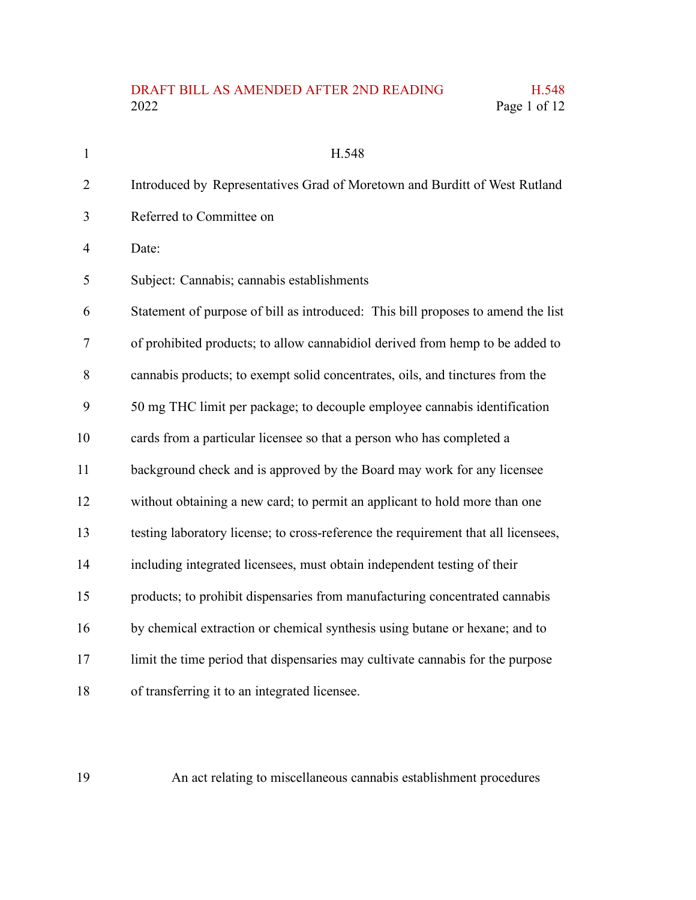## DRAFT BILL AS AMENDED AFTER 2ND READING H.548<br>2022 Page 1 of 12 Page 1 of 12

| $\mathbf{1}$   | H.548                                                                              |
|----------------|------------------------------------------------------------------------------------|
| $\overline{2}$ | Introduced by Representatives Grad of Moretown and Burditt of West Rutland         |
| 3              | Referred to Committee on                                                           |
| $\overline{4}$ | Date:                                                                              |
| 5              | Subject: Cannabis; cannabis establishments                                         |
| 6              | Statement of purpose of bill as introduced: This bill proposes to amend the list   |
| 7              | of prohibited products; to allow cannabidiol derived from hemp to be added to      |
| 8              | cannabis products; to exempt solid concentrates, oils, and tinctures from the      |
| 9              | 50 mg THC limit per package; to decouple employee cannabis identification          |
| 10             | cards from a particular licensee so that a person who has completed a              |
| 11             | background check and is approved by the Board may work for any licensee            |
| 12             | without obtaining a new card; to permit an applicant to hold more than one         |
| 13             | testing laboratory license; to cross-reference the requirement that all licensees, |
| 14             | including integrated licensees, must obtain independent testing of their           |
| 15             | products; to prohibit dispensaries from manufacturing concentrated cannabis        |
| 16             | by chemical extraction or chemical synthesis using butane or hexane; and to        |
| 17             | limit the time period that dispensaries may cultivate cannabis for the purpose     |
| 18             | of transferring it to an integrated licensee.                                      |

An act relating to miscellaneous cannabis establishment procedures

19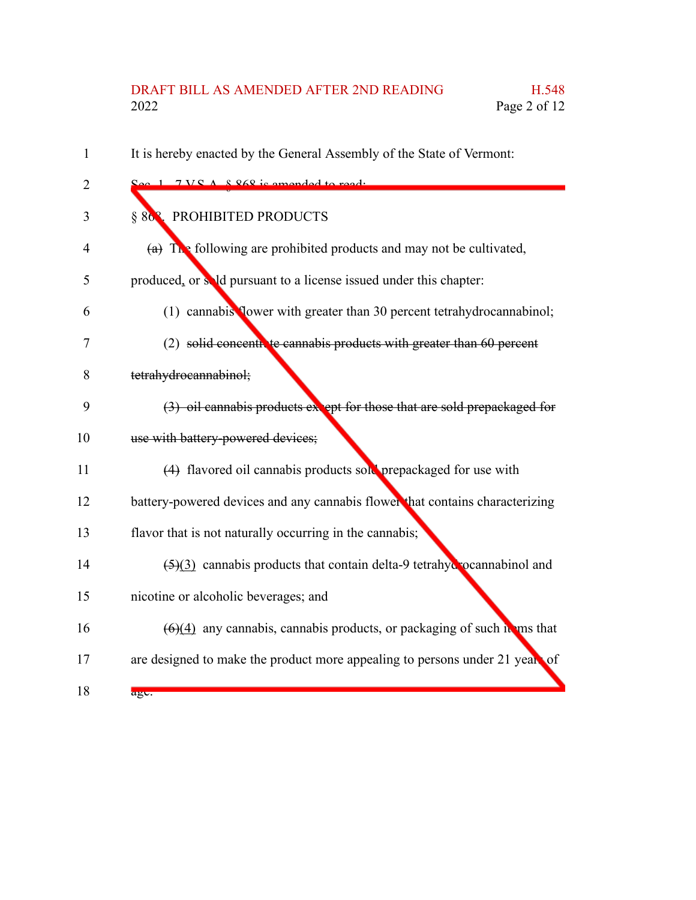## DRAFT BILL AS AMENDED AFTER 2ND READING H.548 2022 Page 2 of 12

It is hereby enacted by the General Assembly of the State of Vermont: Sec. 1. 7 V.S.A. § 868 is amended to read: § 863. PROHIBITED PRODUCTS (a) The following are prohibited products and may not be cultivated, produced, or sold pursuant to a license issued under this chapter: (1) cannabis flower with greater than 30 percent tetrahydrocannabinol; (2) solid concentrate cannabis products with greater than 60 percent tetrahydrocannabinol;  $(3)$  oil cannabis products except for those that are sold prepackaged for use with battery-powered devices; (4) flavored oil cannabis products sold prepackaged for use with battery-powered devices and any cannabis flower that contains characterizing flavor that is not naturally occurring in the cannabis;  $(5)(3)$  cannabis products that contain delta-9 tetrahydrocannabinol and nicotine or alcoholic beverages; and  $(6)(4)$  any cannabis, cannabis products, or packaging of such items that are designed to make the product more appealing to persons under 21 years of age. 1 2 3 4 5 6 7 8 9 10 11 12 13 14 15 16 17 18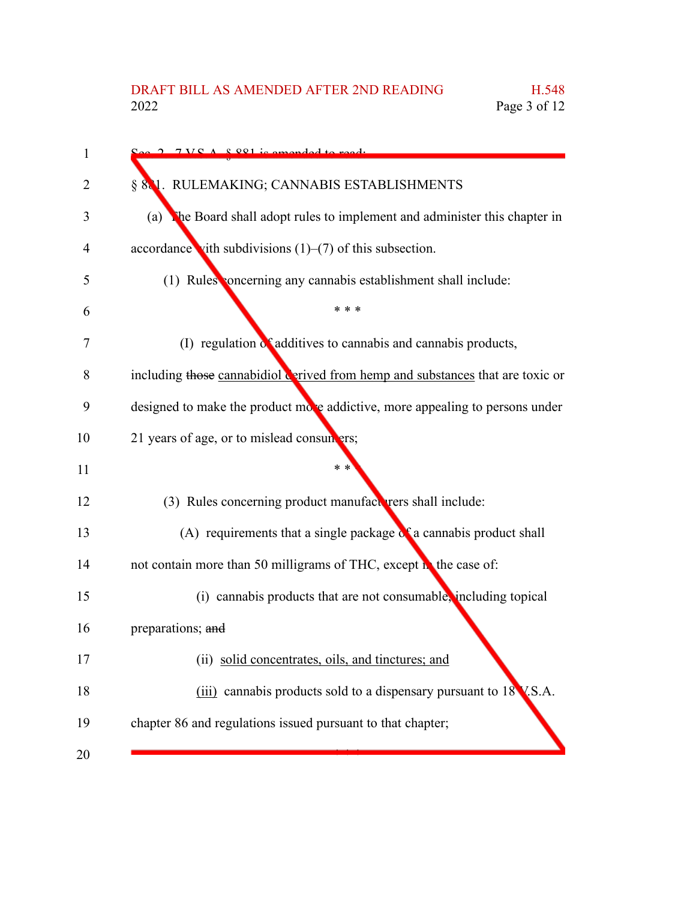| 1              | $\Omega_{\alpha\alpha}$ 2 7 VC $\Lambda$ $\Omega$ $\Omega$ <sup>1</sup> is amonded to read. |
|----------------|---------------------------------------------------------------------------------------------|
| $\overline{2}$ | § 881. RULEMAKING; CANNABIS ESTABLISHMENTS                                                  |
| 3              | The Board shall adopt rules to implement and administer this chapter in<br>(a)              |
| 4              | accordance vith subdivisions $(1)$ – $(7)$ of this subsection.                              |
| 5              | (1) Rules concerning any cannabis establishment shall include:                              |
| 6              | * * *                                                                                       |
| 7              | (I) regulation of additives to cannabis and cannabis products,                              |
| 8              | including those cannabidiol derived from hemp and substances that are toxic or              |
| 9              | designed to make the product move addictive, more appealing to persons under                |
| 10             | 21 years of age, or to mislead consumers;                                                   |
| 11             | $* *$                                                                                       |
| 12             | (3) Rules concerning product manufacturers shall include:                                   |
| 13             | (A) requirements that a single package $\alpha$ a cannabis product shall                    |
| 14             | not contain more than 50 milligrams of THC, except in the case of:                          |
| 15             | (i) cannabis products that are not consumable, including topical                            |
| 16             | preparations; and                                                                           |
| 17             | (ii) solid concentrates, oils, and tinctures; and                                           |
| 18             | (iii) cannabis products sold to a dispensary pursuant to 18 V.S.A.                          |
| 19             | chapter 86 and regulations issued pursuant to that chapter;                                 |
| 20             |                                                                                             |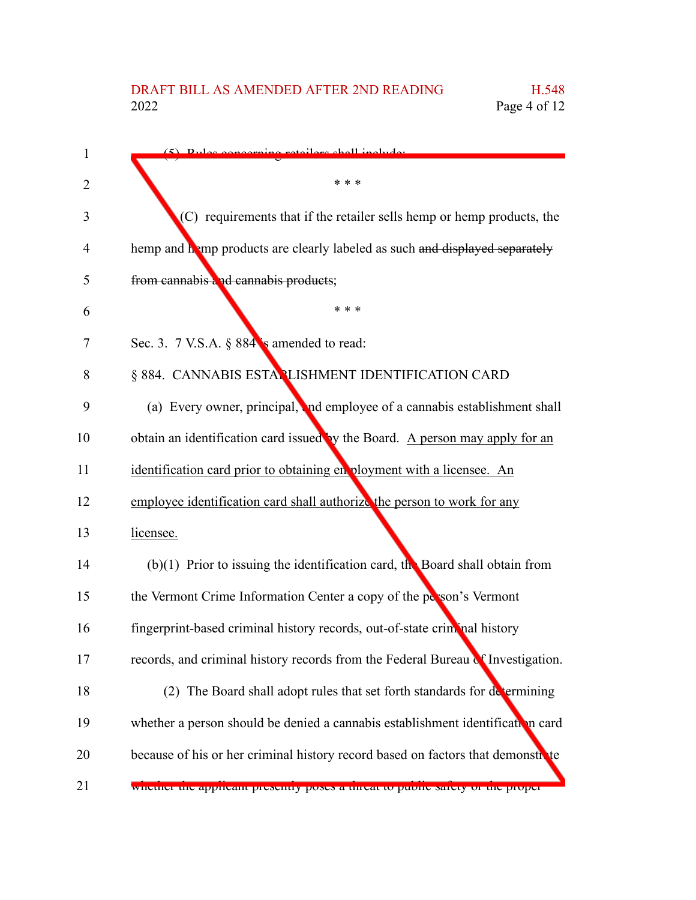| 1  | $(5)$ Pulge concerning retailers shall include                                  |
|----|---------------------------------------------------------------------------------|
| 2  | * * *                                                                           |
| 3  | (C) requirements that if the retailer sells hemp or hemp products, the          |
| 4  | hemp and hamp products are clearly labeled as such and displayed separately     |
| 5  | from cannabis and cannabis products;                                            |
| 6  | * * *                                                                           |
| 7  | Sec. 3. 7 V.S.A. § 884 s amended to read:                                       |
| 8  | § 884. CANNABIS ESTANLISHMENT IDENTIFICATION CARD                               |
| 9  | (a) Every owner, principal, and employee of a cannabis establishment shall      |
| 10 | obtain an identification card issued by the Board. A person may apply for an    |
| 11 | identification card prior to obtaining en ployment with a licensee. An          |
| 12 | employee identification card shall authorize the person to work for any         |
| 13 | licensee.                                                                       |
| 14 | $(b)(1)$ Prior to issuing the identification card, the Board shall obtain from  |
| 15 | the Vermont Crime Information Center a copy of the person's Vermont             |
| 16 | fingerprint-based criminal history records, out-of-state criminal history       |
| 17 | records, and criminal history records from the Federal Bureau of Investigation. |
| 18 | (2) The Board shall adopt rules that set forth standards for determining        |
| 19 | whether a person should be denied a cannabis establishment identification card  |
| 20 | because of his or her criminal history record based on factors that demonstrate |
| 21 | wnether the applicant presently poses a timeat to public safety of the proper   |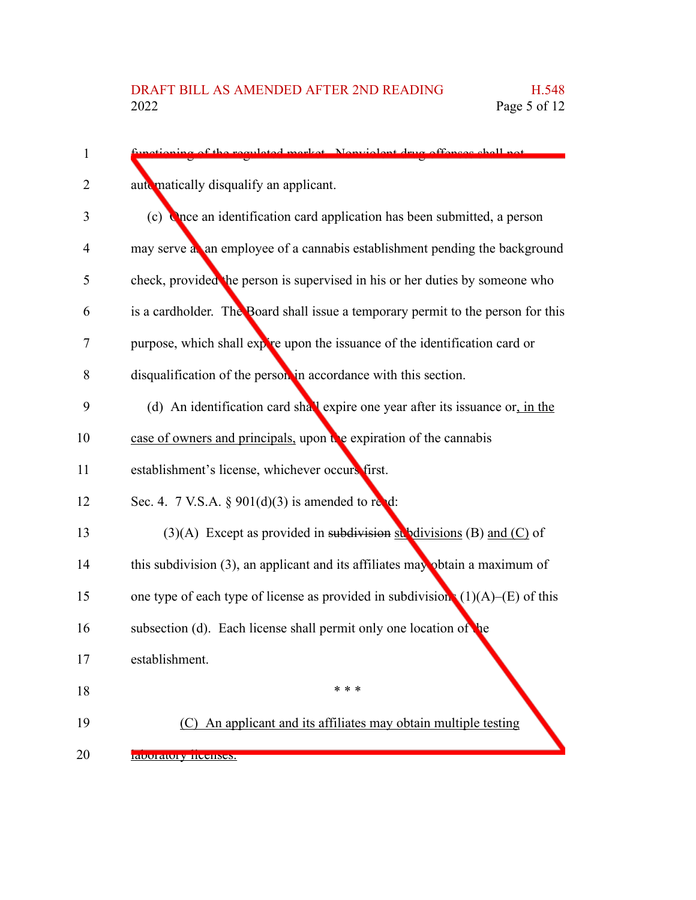| 1              | tioning of the requisted market. Nonviolent drug offenses shell not                |
|----------------|------------------------------------------------------------------------------------|
| $\overline{2}$ | aute matically disqualify an applicant.                                            |
| 3              | (c) Once an identification card application has been submitted, a person           |
| $\overline{4}$ | may serve a an employee of a cannabis establishment pending the background         |
| 5              | check, provided the person is supervised in his or her duties by someone who       |
| 6              | is a cardholder. The Board shall issue a temporary permit to the person for this   |
| 7              | purpose, which shall expire upon the issuance of the identification card or        |
| 8              | disqualification of the person in accordance with this section.                    |
| 9              | (d) An identification card shall expire one year after its issuance or, in the     |
| 10             | case of owners and principals, upon the expiration of the cannabis                 |
| 11             | establishment's license, whichever occurs first.                                   |
| 12             | Sec. 4. 7 V.S.A. § $901(d)(3)$ is amended to red:                                  |
| 13             | (3)(A) Except as provided in subdivision $\frac{1}{2}$ bdivisions (B) and (C) of   |
| 14             | this subdivision $(3)$ , an applicant and its affiliates may obtain a maximum of   |
| 15             | one type of each type of license as provided in subdivision. $(1)(A)$ –(E) of this |
| 16             | subsection (d). Each license shall permit only one location of the                 |
| 17             | establishment.                                                                     |
| 18             | * * *                                                                              |
| 19             | (C) An applicant and its affiliates may obtain multiple testing                    |
| 20             | raduratury iluulisus.                                                              |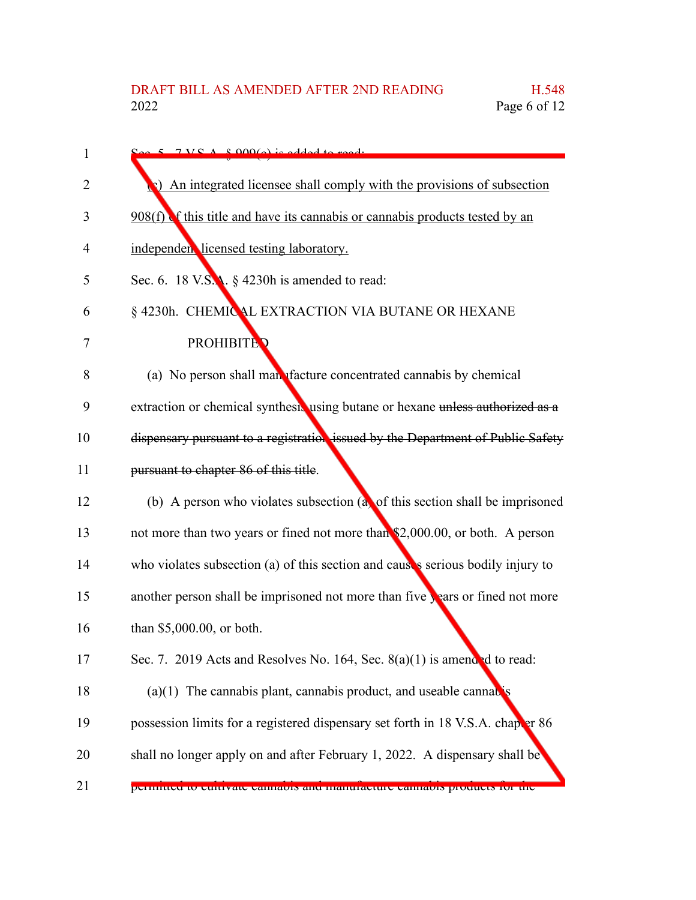| 1  | $S_{\alpha\alpha}$ 5 7 V S A 8.000(a) is added to ready                         |
|----|---------------------------------------------------------------------------------|
| 2  | (b) An integrated licensee shall comply with the provisions of subsection       |
| 3  | $908(f)$ of this title and have its cannabis or cannabis products tested by an  |
| 4  | independen licensed testing laboratory.                                         |
| 5  | Sec. 6. 18 V.S.A. $\S$ 4230h is amended to read:                                |
| 6  | § 4230h. CHEMICAL EXTRACTION VIA BUTANE OR HEXANE                               |
| 7  | <b>PROHIBITED</b>                                                               |
| 8  | (a) No person shall man <i>diacture</i> concentrated cannabis by chemical       |
| 9  | extraction or chemical synthesis using butane or hexane unless authorized as a  |
| 10 | dispensary pursuant to a registration issued by the Department of Public Safety |
| 11 | pursuant to chapter 86 of this title.                                           |
| 12 | (b) A person who violates subsection $(a)$ of this section shall be imprisoned  |
| 13 | not more than two years or fined not more than \$2,000.00, or both. A person    |
| 14 | who violates subsection (a) of this section and causes serious bodily injury to |
| 15 | another person shall be imprisoned not more than five years or fined not more   |
| 16 | than \$5,000.00, or both.                                                       |
| 17 | Sec. 7. 2019 Acts and Resolves No. 164, Sec. $8(a)(1)$ is amended to read:      |
| 18 | $(a)(1)$ The cannabis plant, cannabis product, and useable cannabis             |
| 19 | possession limits for a registered dispensary set forth in 18 V.S.A. chaper 86  |
| 20 | shall no longer apply on and after February 1, 2022. A dispensary shall be      |
| 21 | permitted to cultivate cannabis and manufacture cannabis products for the       |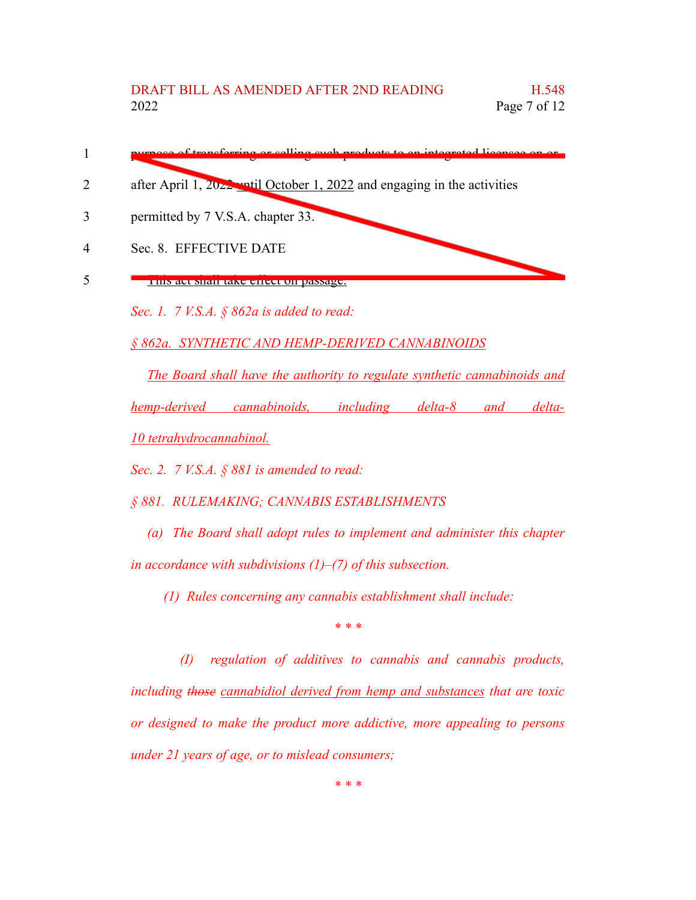- purpose of transferring or selling such products to an integrated licensee on or 1
- after April 1, 2022 until October 1, 2022 and engaging in the activities 2
- permitted by 7 V.S.A. chapter 33. 3

Sec. 8. EFFECTIVE DATE 4

This act shall take effect on passage. 5

*Sec. 1. 7 V.S.A. § 862a is added to read:*

*§ 862a. SYNTHETIC AND HEMP-DERIVED CANNABINOIDS*

*The Board shall have the authority to regulate synthetic cannabinoids and hemp-derived cannabinoids, including delta-8 and delta-10 tetrahydrocannabinol.*

*Sec. 2. 7 V.S.A. § 881 is amended to read:*

*§ 881. RULEMAKING; CANNABIS ESTABLISHMENTS*

*(a) The Board shall adopt rules to implement and administer this chapter in accordance with subdivisions (1)–(7) of this subsection.*

*(1) Rules concerning any cannabis establishment shall include:*

*\* \* \**

*(I) regulation of additives to cannabis and cannabis products, including those cannabidiol derived from hemp and substances that are toxic or designed to make the product more addictive, more appealing to persons under 21 years of age, or to mislead consumers;*

*\* \* \**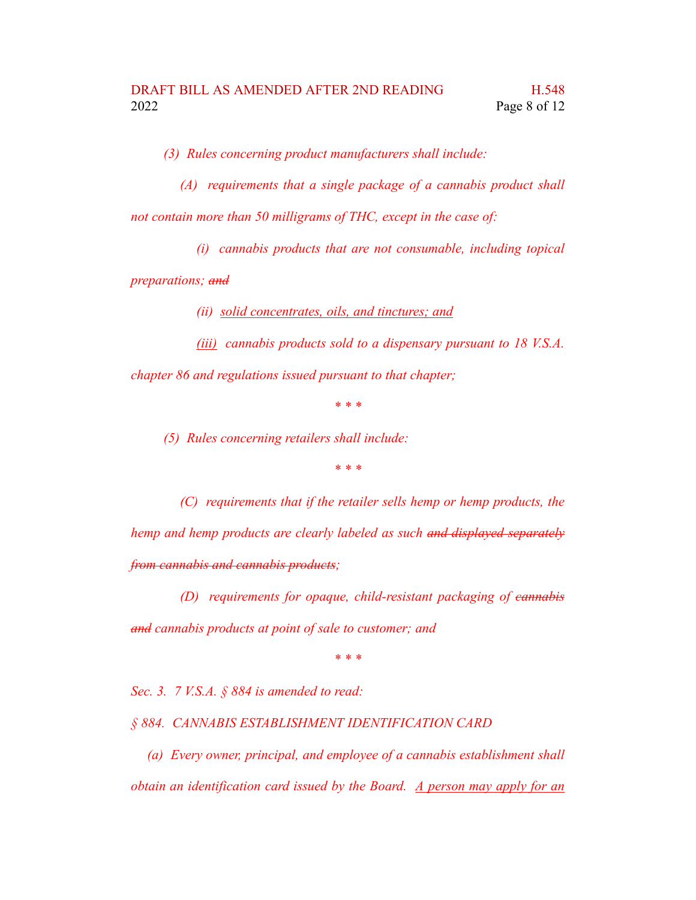*(3) Rules concerning product manufacturers shall include:*

- *(A) requirements that a single package of a cannabis product shall not contain more than 50 milligrams of THC, except in the case of:*
	- *(i) cannabis products that are not consumable, including topical*

*preparations; and*

*(ii) solid concentrates, oils, and tinctures; and*

*(iii) cannabis products sold to a dispensary pursuant to 18 V.S.A. chapter 86 and regulations issued pursuant to that chapter;*

*\* \* \**

*(5) Rules concerning retailers shall include:*

*\* \* \**

*(C) requirements that if the retailer sells hemp or hemp products, the hemp and hemp products are clearly labeled as such and displayed separately from cannabis and cannabis products;*

*(D) requirements for opaque, child-resistant packaging of cannabis and cannabis products at point of sale to customer; and*

*\* \* \**

*Sec. 3. 7 V.S.A. § 884 is amended to read:*

*§ 884. CANNABIS ESTABLISHMENT IDENTIFICATION CARD*

*(a) Every owner, principal, and employee of a cannabis establishment shall obtain an identification card issued by the Board. A person may apply for an*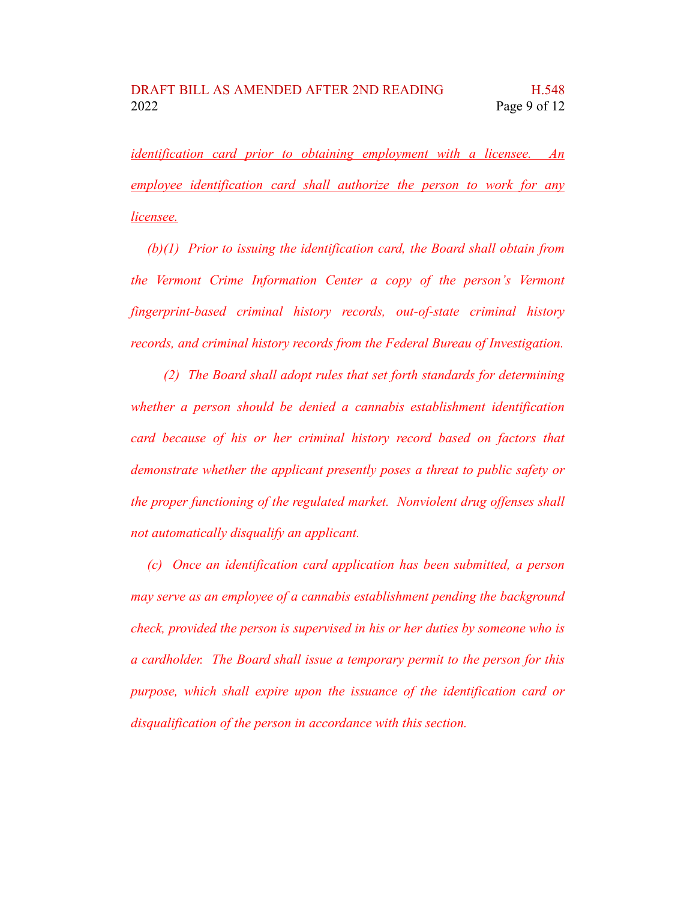*identification card prior to obtaining employment with a licensee. An employee identification card shall authorize the person to work for any licensee.*

*(b)(1) Prior to issuing the identification card, the Board shall obtain from the Vermont Crime Information Center a copy of the person's Vermont fingerprint-based criminal history records, out-of-state criminal history records, and criminal history records from the Federal Bureau of Investigation.*

*(2) The Board shall adopt rules that set forth standards for determining whether a person should be denied a cannabis establishment identification card because of his or her criminal history record based on factors that demonstrate whether the applicant presently poses a threat to public safety or the proper functioning of the regulated market. Nonviolent drug offenses shall not automatically disqualify an applicant.*

*(c) Once an identification card application has been submitted, a person may serve as an employee of a cannabis establishment pending the background check, provided the person is supervised in his or her duties by someone who is a cardholder. The Board shall issue a temporary permit to the person for this purpose, which shall expire upon the issuance of the identification card or disqualification of the person in accordance with this section.*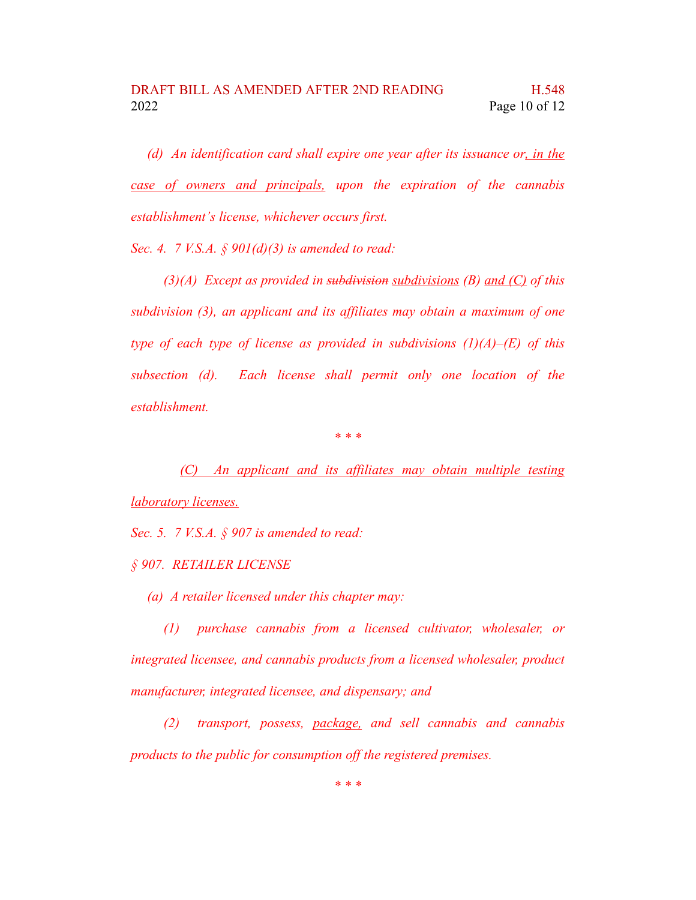*(d) An identification card shall expire one year after its issuance or, in the case of owners and principals, upon the expiration of the cannabis establishment's license, whichever occurs first.*

*Sec. 4. 7 V.S.A. § 901(d)(3) is amended to read:*

*(3)(A) Except as provided in subdivision subdivisions (B) and (C) of this subdivision (3), an applicant and its affiliates may obtain a maximum of one type of each type of license as provided in subdivisions (1)(A)–(E) of this subsection (d). Each license shall permit only one location of the establishment.*

*\* \* \**

*(C) An applicant and its affiliates may obtain multiple testing laboratory licenses.*

*Sec. 5. 7 V.S.A. § 907 is amended to read:*

*§ 907. RETAILER LICENSE*

*(a) A retailer licensed under this chapter may:*

*(1) purchase cannabis from a licensed cultivator, wholesaler, or integrated licensee, and cannabis products from a licensed wholesaler, product manufacturer, integrated licensee, and dispensary; and*

*(2) transport, possess, package, and sell cannabis and cannabis products to the public for consumption off the registered premises.*

*\* \* \**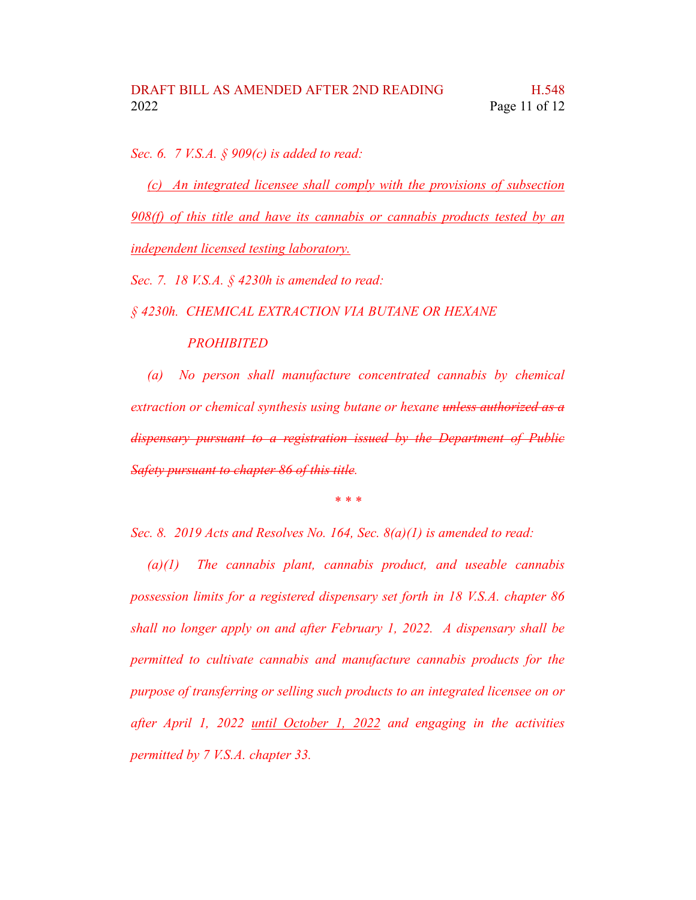*Sec. 6. 7 V.S.A. § 909(c) is added to read:*

*(c) An integrated licensee shall comply with the provisions of subsection 908(f) of this title and have its cannabis or cannabis products tested by an independent licensed testing laboratory.*

*Sec. 7. 18 V.S.A. § 4230h is amended to read:*

*§ 4230h. CHEMICAL EXTRACTION VIA BUTANE OR HEXANE*

## *PROHIBITED*

*(a) No person shall manufacture concentrated cannabis by chemical extraction or chemical synthesis using butane or hexane unless authorized as a dispensary pursuant to a registration issued by the Department of Public Safety pursuant to chapter 86 of this title.*

*\* \* \**

*Sec. 8. 2019 Acts and Resolves No. 164, Sec. 8(a)(1) is amended to read:*

*(a)(1) The cannabis plant, cannabis product, and useable cannabis possession limits for a registered dispensary set forth in 18 V.S.A. chapter 86 shall no longer apply on and after February 1, 2022. A dispensary shall be permitted to cultivate cannabis and manufacture cannabis products for the purpose of transferring or selling such products to an integrated licensee on or after April 1, 2022 until October 1, 2022 and engaging in the activities permitted by 7 V.S.A. chapter 33.*